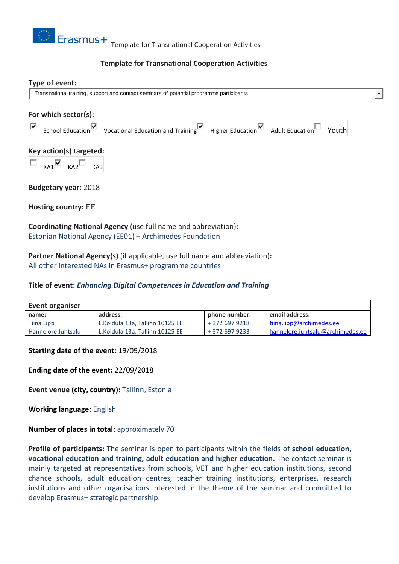

## **Template for Transnational Cooperation Activities**

# **Type of event:** Transnational training, support and contact seminars of potential programme participants  $\overline{\phantom{a}}$ **For which sector(s):** School Education V Vocational Education and Training Higher Education Adult Education Youth ⊽ **Key action(s) targeted:**  $KA1$ <sup>M</sup>  $KA2$ <sup>M</sup>  $KA3$ **Budgetary year:** 2018 **Hosting country:** EE **Coordinating National Agency** (use full name and abbreviation)**:**

Estonian National Agency (EE01) – Archimedes Foundation

**Partner National Agency(s)** (if applicable, use full name and abbreviation)**:** All other interested NAs in Erasmus+ programme countries

### **Title of event:** *Enhancing Digital Competences in Education and Training*

| Event organiser    |                                  |                |                                  |
|--------------------|----------------------------------|----------------|----------------------------------|
| name:              | address:                         | phone number:  | email address:                   |
| Tiina Lipp         | L. Koidula 13a, Tallinn 10125 EE | + 372 697 9218 | tiina.lipp@archimedes.ee         |
| Hannelore Juhtsalu | L. Koidula 13a. Tallinn 10125 EE | + 372 697 9233 | hannelore.juhtsalu@archimedes.ee |

#### **Starting date of the event:** 19/09/2018

**Ending date of the event:** 22/09/2018

**Event venue (city, country):** Tallinn, Estonia

**Working language:** English

**Number of places in total: approximately 70** 

**Profile of participants:** The seminar is open to participants within the fields of **school education, vocational education and training, adult education and higher education.** The contact seminar is mainly targeted at representatives from schools, VET and higher education institutions, second chance schools, adult education centres, teacher training institutions, enterprises, research institutions and other organisations interested in the theme of the seminar and committed to develop Erasmus+ strategic partnership.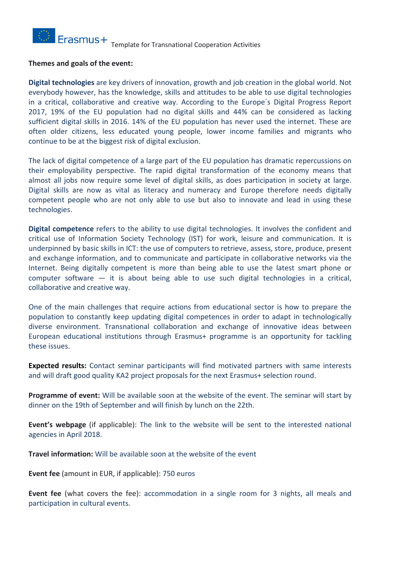

#### **Themes and goals of the event:**

**Digital technologies** are key drivers of innovation, growth and job creation in the global world. Not everybody however, has the knowledge, skills and attitudes to be able to use digital technologies in a critical, collaborative and creative way. According to the Europe´s Digital Progress Report 2017, 19% of the EU population had no digital skills and 44% can be considered as lacking sufficient digital skills in 2016. 14% of the EU population has never used the internet. These are often older citizens, less educated young people, lower income families and migrants who continue to be at the biggest risk of digital exclusion.

The lack of digital competence of a large part of the EU population has dramatic repercussions on their employability perspective. The rapid digital transformation of the economy means that almost all jobs now require some level of digital skills, as does participation in society at large. Digital skills are now as vital as literacy and numeracy and Europe therefore needs digitally competent people who are not only able to use but also to innovate and lead in using these technologies.

**Digital competence** refers to the ability to use digital technologies. It involves the confident and critical use of Information Society Technology (IST) for work, leisure and communication. It is underpinned by basic skills in ICT: the use of computers to retrieve, assess, store, produce, present and exchange information, and to communicate and participate in collaborative networks via the Internet. Being digitally competent is more than being able to use the latest smart phone or computer software  $-$  it is about being able to use such digital technologies in a critical, collaborative and creative way.

One of the main challenges that require actions from educational sector is how to prepare the population to constantly keep updating digital competences in order to adapt in technologically diverse environment. Transnational collaboration and exchange of innovative ideas between European educational institutions through Erasmus+ programme is an opportunity for tackling these issues.

**Expected results:** Contact seminar participants will find motivated partners with same interests and will draft good quality KA2 project proposals for the next Erasmus+ selection round.

**Programme of event:** Will be available soon at the website of the event. The seminar will start by dinner on the 19th of September and will finish by lunch on the 22th.

**Event's webpage** (if applicable): The link to the website will be sent to the interested national agencies in April 2018.

**Travel information:** Will be available soon at the website of the event

**Event fee** (amount in EUR, if applicable): 750 euros

**Event fee** (what covers the fee): accommodation in a single room for 3 nights, all meals and participation in cultural events.